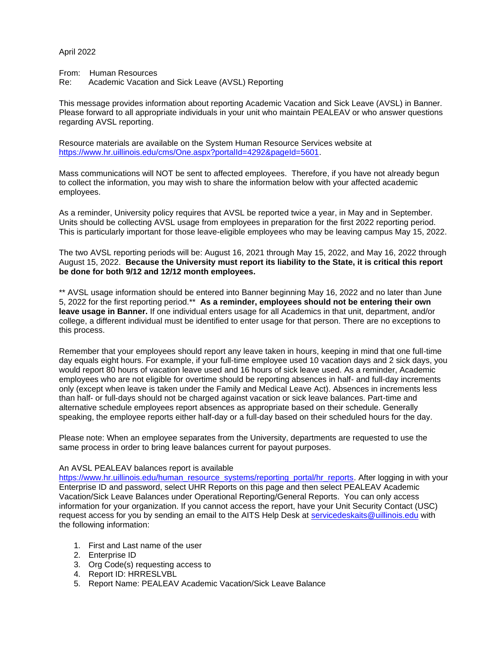## April 2022

From: Human Resources

Re: Academic Vacation and Sick Leave (AVSL) Reporting

This message provides information about reporting Academic Vacation and Sick Leave (AVSL) in Banner. Please forward to all appropriate individuals in your unit who maintain PEALEAV or who answer questions regarding AVSL reporting.

Resource materials are available on the System Human Resource Services website at [https://www.hr.uillinois.edu/cms/One.aspx?portalId=4292&pageId=5601.](https://www.hr.uillinois.edu/cms/One.aspx?portalId=4292&pageId=5601)

Mass communications will NOT be sent to affected employees. Therefore, if you have not already begun to collect the information, you may wish to share the information below with your affected academic employees.

As a reminder, University policy requires that AVSL be reported twice a year, in May and in September. Units should be collecting AVSL usage from employees in preparation for the first 2022 reporting period. This is particularly important for those leave-eligible employees who may be leaving campus May 15, 2022.

The two AVSL reporting periods will be: August 16, 2021 through May 15, 2022, and May 16, 2022 through August 15, 2022. **Because the University must report its liability to the State, it is critical this report be done for both 9/12 and 12/12 month employees.**

\*\* AVSL usage information should be entered into Banner beginning May 16, 2022 and no later than June 5, 2022 for the first reporting period.\*\* **As a reminder, employees should not be entering their own leave usage in Banner.** If one individual enters usage for all Academics in that unit, department, and/or college, a different individual must be identified to enter usage for that person. There are no exceptions to this process.

Remember that your employees should report any leave taken in hours, keeping in mind that one full-time day equals eight hours. For example, if your full-time employee used 10 vacation days and 2 sick days, you would report 80 hours of vacation leave used and 16 hours of sick leave used. As a reminder, Academic employees who are not eligible for overtime should be reporting absences in half- and full-day increments only (except when leave is taken under the Family and Medical Leave Act). Absences in increments less than half- or full-days should not be charged against vacation or sick leave balances. Part-time and alternative schedule employees report absences as appropriate based on their schedule. Generally speaking, the employee reports either half-day or a full-day based on their scheduled hours for the day.

Please note: When an employee separates from the University, departments are requested to use the same process in order to bring leave balances current for payout purposes.

## An AVSL PEALEAV balances report is available

[https://www.hr.uillinois.edu/human\\_resource\\_systems/reporting\\_portal/hr\\_reports.](https://www.hr.uillinois.edu/human_resource_systems/reporting_portal/hr_reports) After logging in with your Enterprise ID and password, select UHR Reports on this page and then select PEALEAV Academic Vacation/Sick Leave Balances under Operational Reporting/General Reports. You can only access information for your organization. If you cannot access the report, have your Unit Security Contact (USC) request access for you by sending an email to the AITS Help Desk at [servicedeskaits@uillinois.edu](mailto:servicedeskaits@uillinois.edu) with the following information:

- 1. First and Last name of the user
- 2. Enterprise ID
- 3. Org Code(s) requesting access to
- 4. Report ID: HRRESLVBL
- 5. Report Name: PEALEAV Academic Vacation/Sick Leave Balance